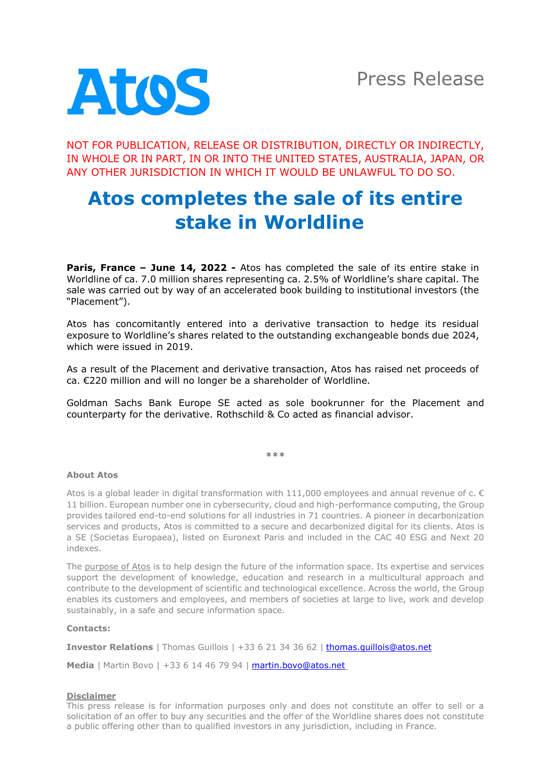

NOT FOR PUBLICATION, RELEASE OR DISTRIBUTION, DIRECTLY OR INDIRECTLY, IN WHOLE OR IN PART, IN OR INTO THE UNITED STATES, AUSTRALIA, JAPAN, OR ANY OTHER JURISDICTION IN WHICH IT WOULD BE UNLAWFUL TO DO SO.

## **Atos completes the sale of its entire stake in Worldline**

**Paris, France – June 14, 2022 -** Atos has completed the sale of its entire stake in Worldline of ca. 7.0 million shares representing ca. 2.5% of Worldline's share capital. The sale was carried out by way of an accelerated book building to institutional investors (the "Placement").

Atos has concomitantly entered into a derivative transaction to hedge its residual exposure to Worldline's shares related to the outstanding exchangeable bonds due 2024, which were issued in 2019.

As a result of the Placement and derivative transaction, Atos has raised net proceeds of ca. €220 million and will no longer be a shareholder of Worldline.

Goldman Sachs Bank Europe SE acted as sole bookrunner for the Placement and counterparty for the derivative. Rothschild & Co acted as financial advisor.

**\*\*\***

## **About Atos**

Atos is a global leader in digital transformation with 111,000 employees and annual revenue of c.  $\epsilon$ 11 billion. European number one in cybersecurity, cloud and high-performance computing, the Group provides tailored end-to-end solutions for all industries in 71 countries. A pioneer in decarbonization services and products, Atos is committed to a secure and decarbonized digital for its clients. Atos is a SE (Societas Europaea), listed on Euronext Paris and included in the CAC 40 ESG and Next 20 indexes.

The [purpose of Atos](https://atos.net/en/raison-detre) is to help design the future of the information space. Its expertise and services support the development of knowledge, education and research in a multicultural approach and contribute to the development of scientific and technological excellence. Across the world, the Group enables its customers and employees, and members of societies at large to live, work and develop sustainably, in a safe and secure information space.

## **Contacts:**

**Investor Relations** | Thomas Guillois | +33 6 21 34 36 62 | [thomas.guillois@atos.net](mailto:thomas.guillois@atos.net)

**Media** | Martin Bovo | +33 6 14 46 79 94 | [martin.bovo@atos.net](mailto:martin.bovo@atos.net)

## **Disclaimer**

This press release is for information purposes only and does not constitute an offer to sell or a solicitation of an offer to buy any securities and the offer of the Worldline shares does not constitute a public offering other than to qualified investors in any jurisdiction, including in France.